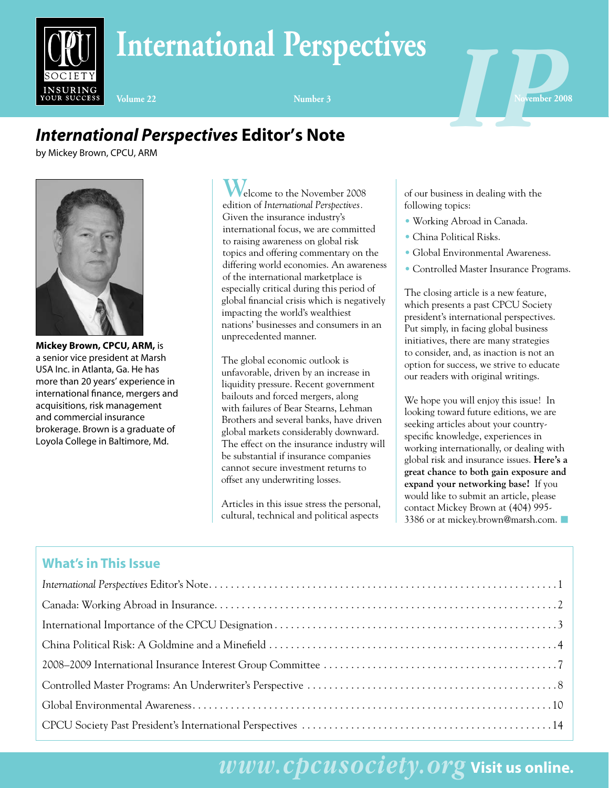# **International Perspectives**

## *International Perspectives* **Editor's Note**

by Mickey Brown, CPCU, ARM

**INSURING** 



**Mickey Brown, CPCU, ARM,** is a senior vice president at Marsh USA Inc. in Atlanta, Ga. He has more than 20 years' experience in international finance, mergers and acquisitions, risk management and commercial insurance brokerage. Brown is a graduate of Loyola College in Baltimore, Md.

**W**elcome to the November 2008 edition of *International Perspectives.*  Given the insurance industry's international focus, we are committed to raising awareness on global risk topics and offering commentary on the differing world economies. An awareness of the international marketplace is especially critical during this period of global financial crisis which is negatively impacting the world's wealthiest nations' businesses and consumers in an unprecedented manner.

The global economic outlook is unfavorable, driven by an increase in liquidity pressure. Recent government bailouts and forced mergers, along with failures of Bear Stearns, Lehman Brothers and several banks, have driven global markets considerably downward. The effect on the insurance industry will be substantial if insurance companies cannot secure investment returns to offset any underwriting losses.

Articles in this issue stress the personal, cultural, technical and political aspects

of our business in dealing with the following topics:

**Number 3 November 2008**

- Working Abroad in Canada.
- China Political Risks.
- Global Environmental Awareness.
- Controlled Master Insurance Programs.

The closing article is a new feature, which presents a past CPCU Society president's international perspectives. Put simply, in facing global business initiatives, there are many strategies to consider, and, as inaction is not an option for success, we strive to educate our readers with original writings.

We hope you will enjoy this issue! In looking toward future editions, we are seeking articles about your countryspecific knowledge, experiences in working internationally, or dealing with global risk and insurance issues. **Here's a great chance to both gain exposure and expand your networking base!** If you would like to submit an article, please contact Mickey Brown at (404) 995- 3386 or at mickey.brown@marsh.com.

## **What's in This Issue**

# *www.cpcusociety.org* **Visit us online.**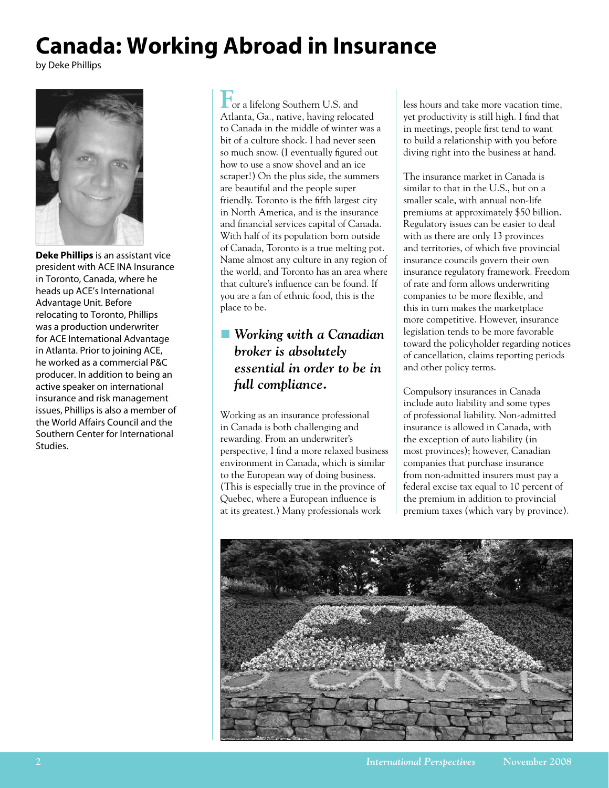# **Canada: Working Abroad in Insurance**

by Deke Phillips



**Deke Phillips** is an assistant vice president with ACE INA Insurance in Toronto, Canada, where he heads up ACE's International Advantage Unit. Before relocating to Toronto, Phillips was a production underwriter for ACE International Advantage in Atlanta. Prior to joining ACE, he worked as a commercial P&C producer. In addition to being an active speaker on international insurance and risk management issues, Phillips is also a member of the World Affairs Council and the Southern Center for International Studies.

**F**or a lifelong Southern U.S. and Atlanta, Ga., native, having relocated to Canada in the middle of winter was a bit of a culture shock. I had never seen so much snow. (I eventually figured out how to use a snow shovel and an ice scraper!) On the plus side, the summers are beautiful and the people super friendly. Toronto is the fifth largest city in North America, and is the insurance and financial services capital of Canada. With half of its population born outside of Canada, Toronto is a true melting pot. Name almost any culture in any region of the world, and Toronto has an area where that culture's influence can be found. If you are a fan of ethnic food, this is the place to be.

## ■ *Working with a Canadian broker is absolutely essential in order to be in full compliance.*

Working as an insurance professional in Canada is both challenging and rewarding. From an underwriter's perspective, I find a more relaxed business environment in Canada, which is similar to the European way of doing business. (This is especially true in the province of Quebec, where a European influence is at its greatest.) Many professionals work

less hours and take more vacation time, yet productivity is still high. I find that in meetings, people first tend to want to build a relationship with you before diving right into the business at hand.

The insurance market in Canada is similar to that in the U.S., but on a smaller scale, with annual non-life premiums at approximately \$50 billion. Regulatory issues can be easier to deal with as there are only 13 provinces and territories, of which five provincial insurance councils govern their own insurance regulatory framework. Freedom of rate and form allows underwriting companies to be more flexible, and this in turn makes the marketplace more competitive. However, insurance legislation tends to be more favorable toward the policyholder regarding notices of cancellation, claims reporting periods and other policy terms.

Compulsory insurances in Canada include auto liability and some types of professional liability. Non-admitted insurance is allowed in Canada, with the exception of auto liability (in most provinces); however, Canadian companies that purchase insurance from non-admitted insurers must pay a federal excise tax equal to 10 percent of the premium in addition to provincial premium taxes (which vary by province).

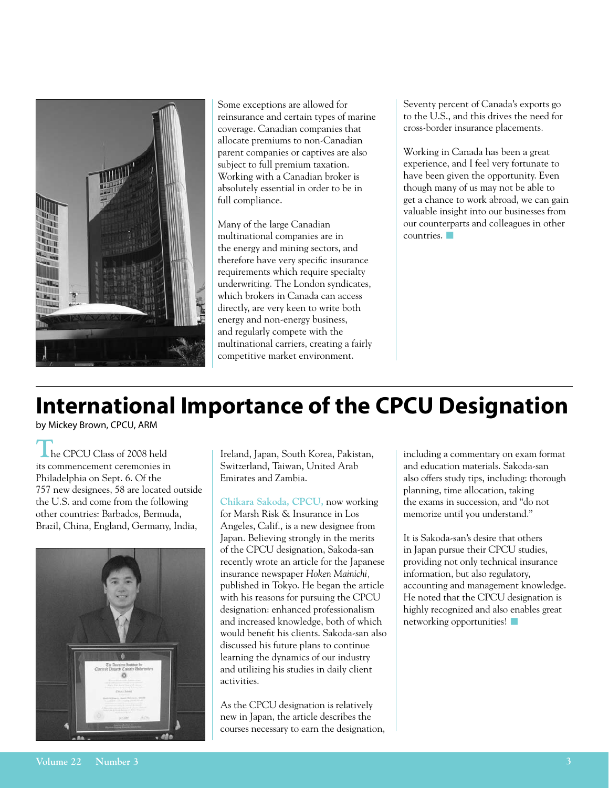

Some exceptions are allowed for reinsurance and certain types of marine coverage. Canadian companies that allocate premiums to non-Canadian parent companies or captives are also subject to full premium taxation. Working with a Canadian broker is absolutely essential in order to be in full compliance.

Many of the large Canadian multinational companies are in the energy and mining sectors, and therefore have very specific insurance requirements which require specialty underwriting. The London syndicates, which brokers in Canada can access directly, are very keen to write both energy and non-energy business, and regularly compete with the multinational carriers, creating a fairly competitive market environment.

Seventy percent of Canada's exports go to the U.S., and this drives the need for cross-border insurance placements.

Working in Canada has been a great experience, and I feel very fortunate to have been given the opportunity. Even though many of us may not be able to get a chance to work abroad, we can gain valuable insight into our businesses from our counterparts and colleagues in other  $countries.$ 

## **International Importance of the CPCU Designation**

by Mickey Brown, CPCU, ARM

**T**he CPCU Class of 2008 held its commencement ceremonies in Philadelphia on Sept. 6. Of the 757 new designees, 58 are located outside the U.S. and come from the following other countries: Barbados, Bermuda, Brazil, China, England, Germany, India,



Ireland, Japan, South Korea, Pakistan, Switzerland, Taiwan, United Arab Emirates and Zambia.

**Chikara Sakoda, CPCU,** now working for Marsh Risk & Insurance in Los Angeles, Calif., is a new designee from Japan. Believing strongly in the merits of the CPCU designation, Sakoda-san recently wrote an article for the Japanese insurance newspaper *Hoken Mainichi,* published in Tokyo. He began the article with his reasons for pursuing the CPCU designation: enhanced professionalism and increased knowledge, both of which would benefit his clients. Sakoda-san also discussed his future plans to continue learning the dynamics of our industry and utilizing his studies in daily client activities.

As the CPCU designation is relatively new in Japan, the article describes the courses necessary to earn the designation, including a commentary on exam format and education materials. Sakoda-san also offers study tips, including: thorough planning, time allocation, taking the exams in succession, and "do not memorize until you understand."

It is Sakoda-san's desire that others in Japan pursue their CPCU studies, providing not only technical insurance information, but also regulatory, accounting and management knowledge. He noted that the CPCU designation is highly recognized and also enables great networking opportunities!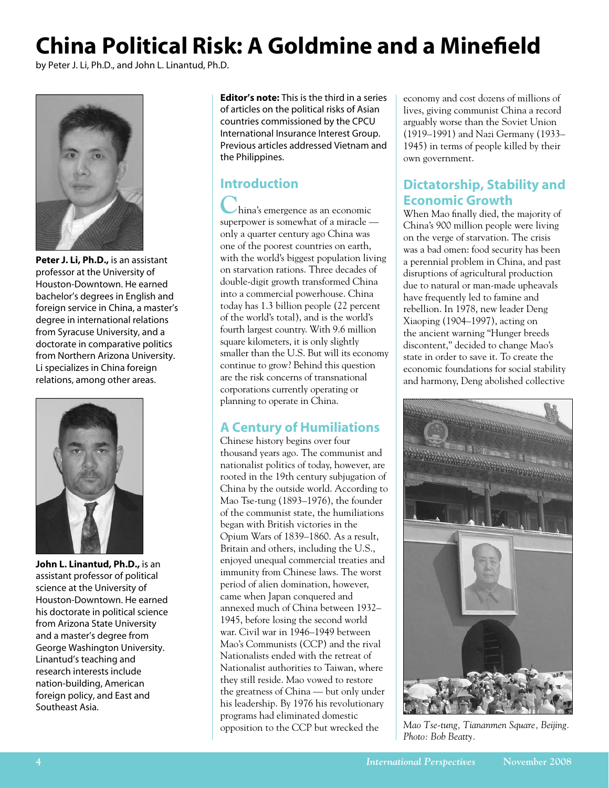# **China Political Risk: A Goldmine and a Minefield**

by Peter J. Li, Ph.D., and John L. Linantud, Ph.D.



**Peter J. Li, Ph.D.,** is an assistant professor at the University of Houston-Downtown. He earned bachelor's degrees in English and foreign service in China, a master's degree in international relations from Syracuse University, and a doctorate in comparative politics from Northern Arizona University. Li specializes in China foreign relations, among other areas.



**John L. Linantud, Ph.D.,** is an assistant professor of political science at the University of Houston-Downtown. He earned his doctorate in political science from Arizona State University and a master's degree from George Washington University. Linantud's teaching and research interests include nation-building, American foreign policy, and East and Southeast Asia.

**Editor's note:** This is the third in a series of articles on the political risks of Asian countries commissioned by the CPCU International Insurance Interest Group. Previous articles addressed Vietnam and the Philippines.

## **Introduction**

**C**hina's emergence as an economic superpower is somewhat of a miracle only a quarter century ago China was one of the poorest countries on earth, with the world's biggest population living on starvation rations. Three decades of double-digit growth transformed China into a commercial powerhouse. China today has 1.3 billion people (22 percent of the world's total), and is the world's fourth largest country. With 9.6 million square kilometers, it is only slightly smaller than the U.S. But will its economy continue to grow? Behind this question are the risk concerns of transnational corporations currently operating or planning to operate in China.

## **A Century of Humiliations**

Chinese history begins over four thousand years ago. The communist and nationalist politics of today, however, are rooted in the 19th century subjugation of China by the outside world. According to Mao Tse-tung (1893–1976), the founder of the communist state, the humiliations began with British victories in the Opium Wars of 1839–1860. As a result, Britain and others, including the U.S., enjoyed unequal commercial treaties and immunity from Chinese laws. The worst period of alien domination, however, came when Japan conquered and annexed much of China between 1932– 1945, before losing the second world war. Civil war in 1946–1949 between Mao's Communists (CCP) and the rival Nationalists ended with the retreat of Nationalist authorities to Taiwan, where they still reside. Mao vowed to restore the greatness of China — but only under his leadership. By 1976 his revolutionary programs had eliminated domestic opposition to the CCP but wrecked the

economy and cost dozens of millions of lives, giving communist China a record arguably worse than the Soviet Union (1919–1991) and Nazi Germany (1933– 1945) in terms of people killed by their own government.

## **Dictatorship, Stability and Economic Growth**

When Mao finally died, the majority of China's 900 million people were living on the verge of starvation. The crisis was a bad omen: food security has been a perennial problem in China, and past disruptions of agricultural production due to natural or man-made upheavals have frequently led to famine and rebellion. In 1978, new leader Deng Xiaoping (1904–1997), acting on the ancient warning "Hunger breeds discontent," decided to change Mao's state in order to save it. To create the economic foundations for social stability and harmony, Deng abolished collective



*Mao Tse-tung, Tiananmen Square, Beijing. Photo: Bob Beatty.*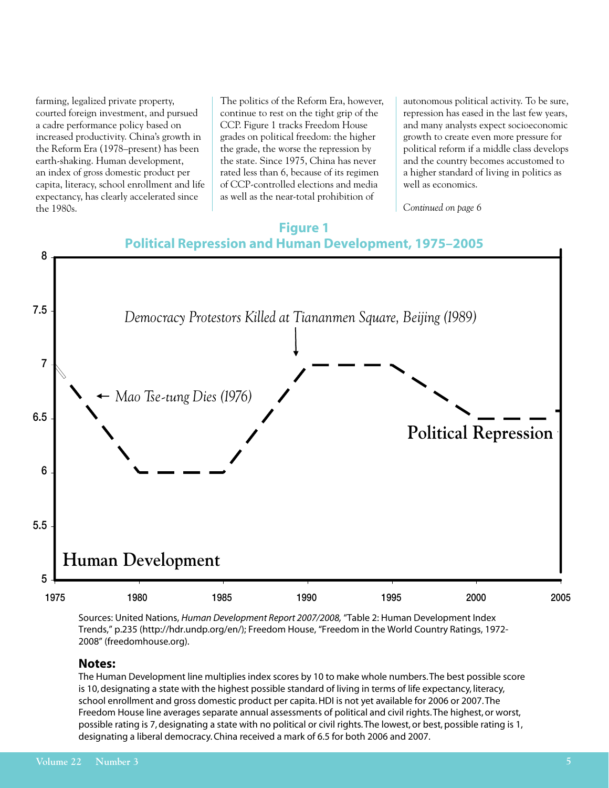farming, legalized private property, courted foreign investment, and pursued a cadre performance policy based on increased productivity. China's growth in the Reform Era (1978–present) has been earth-shaking. Human development, an index of gross domestic product per capita, literacy, school enrollment and life expectancy, has clearly accelerated since the 1980s.

The politics of the Reform Era, however, continue to rest on the tight grip of the CCP. Figure 1 tracks Freedom House grades on political freedom: the higher the grade, the worse the repression by the state. Since 1975, China has never rated less than 6, because of its regimen of CCP-controlled elections and media as well as the near-total prohibition of

autonomous political activity. To be sure, repression has eased in the last few years, and many analysts expect socioeconomic growth to create even more pressure for political reform if a middle class develops and the country becomes accustomed to a higher standard of living in politics as well as economics.

*Continued on page 6*



Sources: United Nations, *Human Development Report 2007/2008,* "Table 2: Human Development Index Trends," p.235 (http://hdr.undp.org/en/); Freedom House, "Freedom in the World Country Ratings, 1972- 2008" (freedomhouse.org).

#### **Notes:**

The Human Development line multiplies index scores by 10 to make whole numbers. The best possible score is 10, designating a state with the highest possible standard of living in terms of life expectancy, literacy, school enrollment and gross domestic product per capita. HDI is not yet available for 2006 or 2007. The Freedom House line averages separate annual assessments of political and civil rights. The highest, or worst, possible rating is 7, designating a state with no political or civil rights. The lowest, or best, possible rating is 1, designating a liberal democracy. China received a mark of 6.5 for both 2006 and 2007.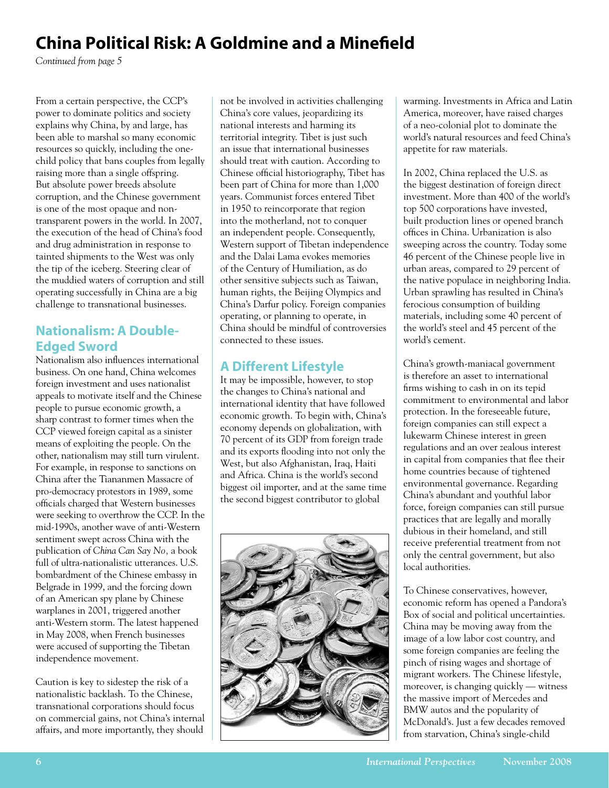## **China Political Risk: A Goldmine and a Minefield**

*Continued from page 5*

From a certain perspective, the CCP's power to dominate politics and society explains why China, by and large, has been able to marshal so many economic resources so quickly, including the onechild policy that bans couples from legally raising more than a single offspring. But absolute power breeds absolute corruption, and the Chinese government is one of the most opaque and nontransparent powers in the world. In 2007, the execution of the head of China's food and drug administration in response to tainted shipments to the West was only the tip of the iceberg. Steering clear of the muddied waters of corruption and still operating successfully in China are a big challenge to transnational businesses.

## **Nationalism: A Double-Edged Sword**

Nationalism also influences international business. On one hand, China welcomes foreign investment and uses nationalist appeals to motivate itself and the Chinese people to pursue economic growth, a sharp contrast to former times when the CCP viewed foreign capital as a sinister means of exploiting the people. On the other, nationalism may still turn virulent. For example, in response to sanctions on China after the Tiananmen Massacre of pro-democracy protestors in 1989, some officials charged that Western businesses were seeking to overthrow the CCP. In the mid-1990s, another wave of anti-Western sentiment swept across China with the publication of *China Can Say No,* a book full of ultra-nationalistic utterances. U.S. bombardment of the Chinese embassy in Belgrade in 1999, and the forcing down of an American spy plane by Chinese warplanes in 2001, triggered another anti-Western storm. The latest happened in May 2008, when French businesses were accused of supporting the Tibetan independence movement.

Caution is key to sidestep the risk of a nationalistic backlash. To the Chinese, transnational corporations should focus on commercial gains, not China's internal affairs, and more importantly, they should

not be involved in activities challenging China's core values, jeopardizing its national interests and harming its territorial integrity. Tibet is just such an issue that international businesses should treat with caution. According to Chinese official historiography, Tibet has been part of China for more than 1,000 years. Communist forces entered Tibet in 1950 to reincorporate that region into the motherland, not to conquer an independent people. Consequently, Western support of Tibetan independence and the Dalai Lama evokes memories of the Century of Humiliation, as do other sensitive subjects such as Taiwan, human rights, the Beijing Olympics and China's Darfur policy. Foreign companies operating, or planning to operate, in China should be mindful of controversies connected to these issues.

## **A Different Lifestyle**

It may be impossible, however, to stop the changes to China's national and international identity that have followed economic growth. To begin with, China's economy depends on globalization, with 70 percent of its GDP from foreign trade and its exports flooding into not only the West, but also Afghanistan, Iraq, Haiti and Africa. China is the world's second biggest oil importer, and at the same time the second biggest contributor to global



warming. Investments in Africa and Latin America, moreover, have raised charges of a neo-colonial plot to dominate the world's natural resources and feed China's appetite for raw materials.

In 2002, China replaced the U.S. as the biggest destination of foreign direct investment. More than 400 of the world's top 500 corporations have invested, built production lines or opened branch offices in China. Urbanization is also sweeping across the country. Today some 46 percent of the Chinese people live in urban areas, compared to 29 percent of the native populace in neighboring India. Urban sprawling has resulted in China's ferocious consumption of building materials, including some 40 percent of the world's steel and 45 percent of the world's cement.

China's growth-maniacal government is therefore an asset to international firms wishing to cash in on its tepid commitment to environmental and labor protection. In the foreseeable future, foreign companies can still expect a lukewarm Chinese interest in green regulations and an over zealous interest in capital from companies that flee their home countries because of tightened environmental governance. Regarding China's abundant and youthful labor force, foreign companies can still pursue practices that are legally and morally dubious in their homeland, and still receive preferential treatment from not only the central government, but also local authorities.

To Chinese conservatives, however, economic reform has opened a Pandora's Box of social and political uncertainties. China may be moving away from the image of a low labor cost country, and some foreign companies are feeling the pinch of rising wages and shortage of migrant workers. The Chinese lifestyle, moreover, is changing quickly — witness the massive import of Mercedes and BMW autos and the popularity of McDonald's. Just a few decades removed from starvation, China's single-child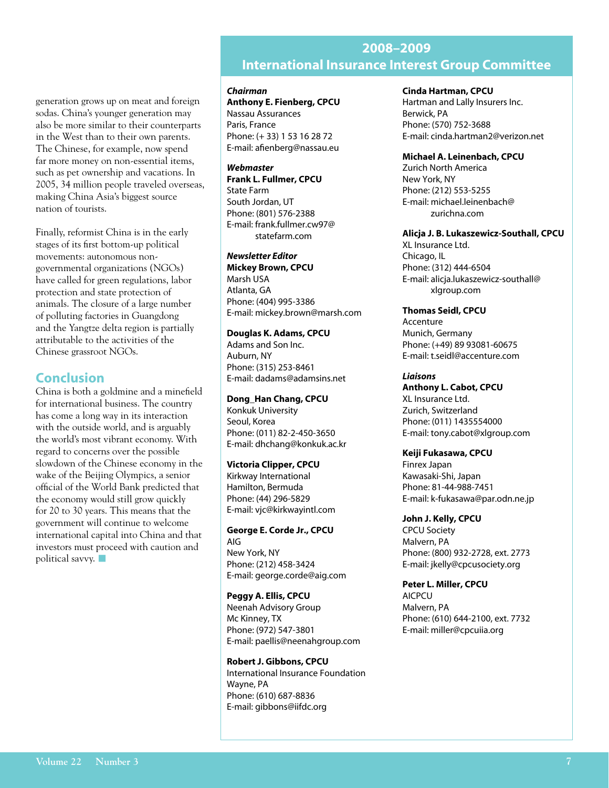#### **2008–2009 International Insurance Interest Group Committee**

generation grows up on meat and foreign sodas. China's younger generation may also be more similar to their counterparts in the West than to their own parents. The Chinese, for example, now spend far more money on non-essential items, such as pet ownership and vacations. In 2005, 34 million people traveled overseas, making China Asia's biggest source nation of tourists.

Finally, reformist China is in the early stages of its first bottom-up political movements: autonomous nongovernmental organizations (NGOs) have called for green regulations, labor protection and state protection of animals. The closure of a large number of polluting factories in Guangdong and the Yangtze delta region is partially attributable to the activities of the Chinese grassroot NGOs.

#### **Conclusion**

China is both a goldmine and a minefield for international business. The country has come a long way in its interaction with the outside world, and is arguably the world's most vibrant economy. With regard to concerns over the possible slowdown of the Chinese economy in the wake of the Beijing Olympics, a senior official of the World Bank predicted that the economy would still grow quickly for 20 to 30 years. This means that the government will continue to welcome international capital into China and that investors must proceed with caution and political savvy.  $\blacksquare$ 

#### *Chairman*

**Anthony E. Fienberg, CPCU** Nassau Assurances Paris, France Phone: (+ 33) 1 53 16 28 72 E-mail: afienberg@nassau.eu

*Webmaster*  **Frank L. Fullmer, CPCU** State Farm South Jordan, UT Phone: (801) 576-2388 E-mail: frank.fullmer.cw97@ statefarm.com

#### *Newsletter Editor*

**Mickey Brown, CPCU** Marsh USA Atlanta, GA Phone: (404) 995-3386 E-mail: mickey.brown@marsh.com

#### **Douglas K. Adams, CPCU**

Adams and Son Inc. Auburn, NY Phone: (315) 253-8461 E-mail: dadams@adamsins.net

#### **Dong\_Han Chang, CPCU**

Konkuk University Seoul, Korea Phone: (011) 82-2-450-3650 E-mail: dhchang@konkuk.ac.kr

#### **Victoria Clipper, CPCU**

Kirkway International Hamilton, Bermuda Phone: (44) 296-5829 E-mail: vjc@kirkwayintl.com

**George E. Corde Jr., CPCU** AIG New York, NY

Phone: (212) 458-3424 E-mail: george.corde@aig.com

**Peggy A. Ellis, CPCU**

Neenah Advisory Group Mc Kinney, TX Phone: (972) 547-3801 E-mail: paellis@neenahgroup.com

**Robert J. Gibbons, CPCU** International Insurance Foundation Wayne, PA Phone: (610) 687-8836 E-mail: gibbons@iifdc.org

#### **Cinda Hartman, CPCU**

Hartman and Lally Insurers Inc. Berwick, PA Phone: (570) 752-3688 E-mail: cinda.hartman2@verizon.net

#### **Michael A. Leinenbach, CPCU**

Zurich North America New York, NY Phone: (212) 553-5255 E-mail: michael.leinenbach@ zurichna.com

#### **Alicja J. B. Lukaszewicz-Southall, CPCU**

XL Insurance Ltd. Chicago, IL Phone: (312) 444-6504 E-mail: alicja.lukaszewicz-southall@ xlgroup.com

**Thomas Seidl, CPCU** Accenture Munich, Germany Phone: (+49) 89 93081-60675 E-mail: t.seidl@accenture.com

*Liaisons* **Anthony L. Cabot, CPCU** XL Insurance Ltd. Zurich, Switzerland Phone: (011) 1435554000 E-mail: tony.cabot@xlgroup.com

**Keiji Fukasawa, CPCU**

Finrex Japan Kawasaki-Shi, Japan Phone: 81-44-988-7451 E-mail: k-fukasawa@par.odn.ne.jp

**John J. Kelly, CPCU** CPCU Society Malvern, PA Phone: (800) 932-2728, ext. 2773 E-mail: jkelly@cpcusociety.org

**Peter L. Miller, CPCU** AICPCU Malvern, PA Phone: (610) 644-2100, ext. 7732 E-mail: miller@cpcuiia.org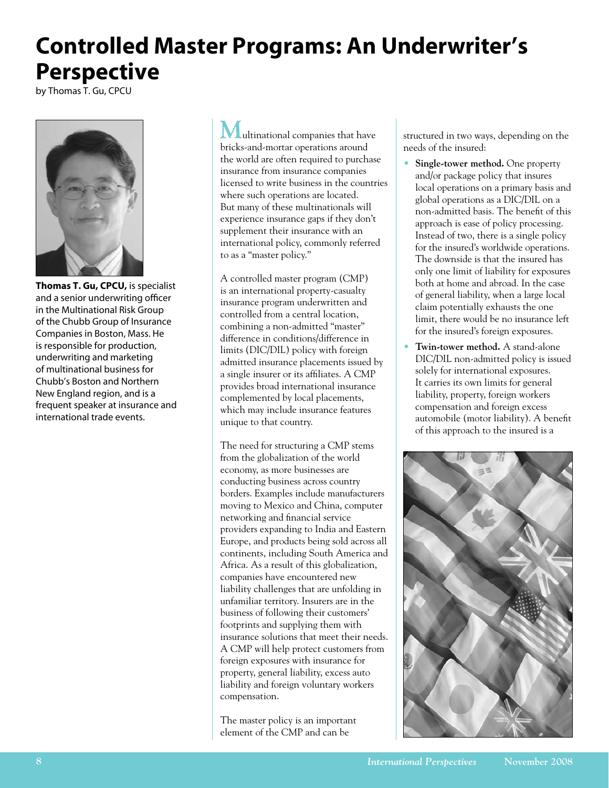# **Controlled Master Programs: An Underwriter's Perspective**

by Thomas T. Gu, CPCU



**Thomas T. Gu, CPCU,** is specialist and a senior underwriting officer in the Multinational Risk Group of the Chubb Group of Insurance Companies in Boston, Mass. He is responsible for production, underwriting and marketing of multinational business for Chubb's Boston and Northern New England region, and is a frequent speaker at insurance and international trade events.

**Multinational companies that have** bricks-and-mortar operations around the world are often required to purchase insurance from insurance companies licensed to write business in the countries where such operations are located. But many of these multinationals will experience insurance gaps if they don't supplement their insurance with an international policy, commonly referred to as a "master policy."

A controlled master program (CMP) is an international property-casualty insurance program underwritten and controlled from a central location, combining a non-admitted "master" difference in conditions/difference in limits (DIC/DIL) policy with foreign admitted insurance placements issued by a single insurer or its affiliates. A CMP provides broad international insurance complemented by local placements, which may include insurance features unique to that country.

The need for structuring a CMP stems from the globalization of the world economy, as more businesses are conducting business across country borders. Examples include manufacturers moving to Mexico and China, computer networking and financial service providers expanding to India and Eastern Europe, and products being sold across all continents, including South America and Africa. As a result of this globalization, companies have encountered new liability challenges that are unfolding in unfamiliar territory. Insurers are in the business of following their customers' footprints and supplying them with insurance solutions that meet their needs. A CMP will help protect customers from foreign exposures with insurance for property, general liability, excess auto liability and foreign voluntary workers compensation.

The master policy is an important element of the CMP and can be

structured in two ways, depending on the needs of the insured:

- **Single-tower method.** One property and/or package policy that insures local operations on a primary basis and global operations as a DIC/DIL on a non-admitted basis. The benefit of this approach is ease of policy processing. Instead of two, there is a single policy for the insured's worldwide operations. The downside is that the insured has only one limit of liability for exposures both at home and abroad. In the case of general liability, when a large local claim potentially exhausts the one limit, there would be no insurance left for the insured's foreign exposures.
- **Twin-tower method.** A stand-alone DIC/DIL non-admitted policy is issued solely for international exposures. It carries its own limits for general liability, property, foreign workers compensation and foreign excess automobile (motor liability). A benefit of this approach to the insured is a

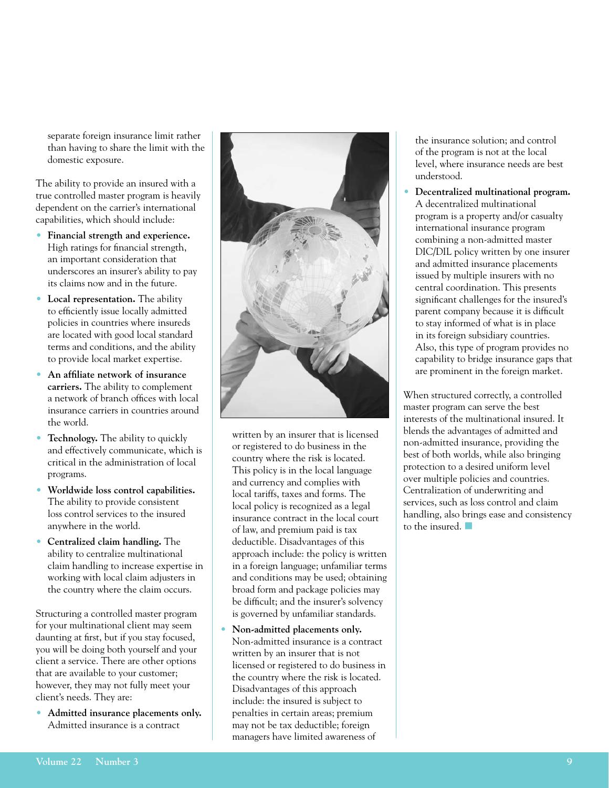separate foreign insurance limit rather than having to share the limit with the domestic exposure.

The ability to provide an insured with a true controlled master program is heavily dependent on the carrier's international capabilities, which should include:

- **Financial strength and experience.**  High ratings for financial strength, an important consideration that underscores an insurer's ability to pay its claims now and in the future.
- **Local representation.** The ability to efficiently issue locally admitted policies in countries where insureds are located with good local standard terms and conditions, and the ability to provide local market expertise.
- **An affiliate network of insurance carriers.** The ability to complement a network of branch offices with local insurance carriers in countries around the world.
- **Technology.** The ability to quickly and effectively communicate, which is critical in the administration of local programs.
- **Worldwide loss control capabilities.** The ability to provide consistent loss control services to the insured anywhere in the world.
- **Centralized claim handling.** The ability to centralize multinational claim handling to increase expertise in working with local claim adjusters in the country where the claim occurs.

Structuring a controlled master program for your multinational client may seem daunting at first, but if you stay focused, you will be doing both yourself and your client a service. There are other options that are available to your customer; however, they may not fully meet your client's needs. They are:

• **Admitted insurance placements only.** Admitted insurance is a contract



written by an insurer that is licensed or registered to do business in the country where the risk is located. This policy is in the local language and currency and complies with local tariffs, taxes and forms. The local policy is recognized as a legal insurance contract in the local court of law, and premium paid is tax deductible. Disadvantages of this approach include: the policy is written in a foreign language; unfamiliar terms and conditions may be used; obtaining broad form and package policies may be difficult; and the insurer's solvency is governed by unfamiliar standards.

• **Non-admitted placements only.** Non-admitted insurance is a contract written by an insurer that is not licensed or registered to do business in the country where the risk is located. Disadvantages of this approach include: the insured is subject to penalties in certain areas; premium may not be tax deductible; foreign managers have limited awareness of

the insurance solution; and control of the program is not at the local level, where insurance needs are best understood.

• **Decentralized multinational program.** A decentralized multinational program is a property and/or casualty international insurance program combining a non-admitted master DIC/DIL policy written by one insurer and admitted insurance placements issued by multiple insurers with no central coordination. This presents significant challenges for the insured's parent company because it is difficult to stay informed of what is in place in its foreign subsidiary countries. Also, this type of program provides no capability to bridge insurance gaps that are prominent in the foreign market.

When structured correctly, a controlled master program can serve the best interests of the multinational insured. It blends the advantages of admitted and non-admitted insurance, providing the best of both worlds, while also bringing protection to a desired uniform level over multiple policies and countries. Centralization of underwriting and services, such as loss control and claim handling, also brings ease and consistency to the insured.  $\blacksquare$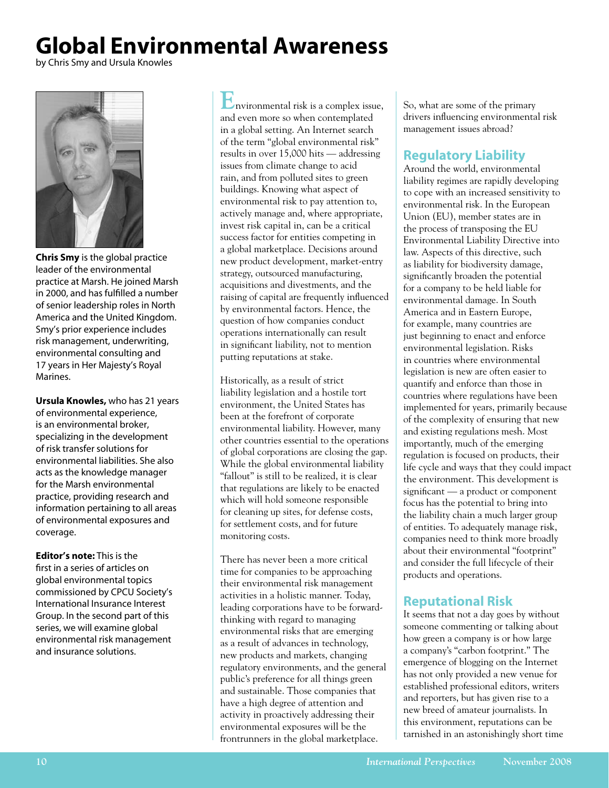# **Global Environmental Awareness**

by Chris Smy and Ursula Knowles



**Chris Smy** is the global practice leader of the environmental practice at Marsh. He joined Marsh in 2000, and has fulfilled a number of senior leadership roles in North America and the United Kingdom. Smy's prior experience includes risk management, underwriting, environmental consulting and 17 years in Her Majesty's Royal Marines.

**Ursula Knowles,** who has 21 years of environmental experience, is an environmental broker, specializing in the development of risk transfer solutions for environmental liabilities. She also acts as the knowledge manager for the Marsh environmental practice, providing research and information pertaining to all areas of environmental exposures and coverage.

**Editor's note:** This is the first in a series of articles on global environmental topics commissioned by CPCU Society's International Insurance Interest Group. In the second part of this series, we will examine global environmental risk management and insurance solutions.

**E**nvironmental risk is a complex issue, and even more so when contemplated in a global setting. An Internet search of the term "global environmental risk" results in over 15,000 hits — addressing issues from climate change to acid rain, and from polluted sites to green buildings. Knowing what aspect of environmental risk to pay attention to, actively manage and, where appropriate, invest risk capital in, can be a critical success factor for entities competing in a global marketplace. Decisions around new product development, market-entry strategy, outsourced manufacturing, acquisitions and divestments, and the raising of capital are frequently influenced by environmental factors. Hence, the question of how companies conduct operations internationally can result in significant liability, not to mention putting reputations at stake.

Historically, as a result of strict liability legislation and a hostile tort environment, the United States has been at the forefront of corporate environmental liability. However, many other countries essential to the operations of global corporations are closing the gap. While the global environmental liability "fallout" is still to be realized, it is clear that regulations are likely to be enacted which will hold someone responsible for cleaning up sites, for defense costs, for settlement costs, and for future monitoring costs.

There has never been a more critical time for companies to be approaching their environmental risk management activities in a holistic manner. Today, leading corporations have to be forwardthinking with regard to managing environmental risks that are emerging as a result of advances in technology, new products and markets, changing regulatory environments, and the general public's preference for all things green and sustainable. Those companies that have a high degree of attention and activity in proactively addressing their environmental exposures will be the frontrunners in the global marketplace.

So, what are some of the primary drivers influencing environmental risk management issues abroad?

#### **Regulatory Liability**

Around the world, environmental liability regimes are rapidly developing to cope with an increased sensitivity to environmental risk. In the European Union (EU), member states are in the process of transposing the EU Environmental Liability Directive into law. Aspects of this directive, such as liability for biodiversity damage, significantly broaden the potential for a company to be held liable for environmental damage. In South America and in Eastern Europe, for example, many countries are just beginning to enact and enforce environmental legislation. Risks in countries where environmental legislation is new are often easier to quantify and enforce than those in countries where regulations have been implemented for years, primarily because of the complexity of ensuring that new and existing regulations mesh. Most importantly, much of the emerging regulation is focused on products, their life cycle and ways that they could impact the environment. This development is significant — a product or component focus has the potential to bring into the liability chain a much larger group of entities. To adequately manage risk, companies need to think more broadly about their environmental "footprint" and consider the full lifecycle of their products and operations.

#### **Reputational Risk**

It seems that not a day goes by without someone commenting or talking about how green a company is or how large a company's "carbon footprint." The emergence of blogging on the Internet has not only provided a new venue for established professional editors, writers and reporters, but has given rise to a new breed of amateur journalists. In this environment, reputations can be tarnished in an astonishingly short time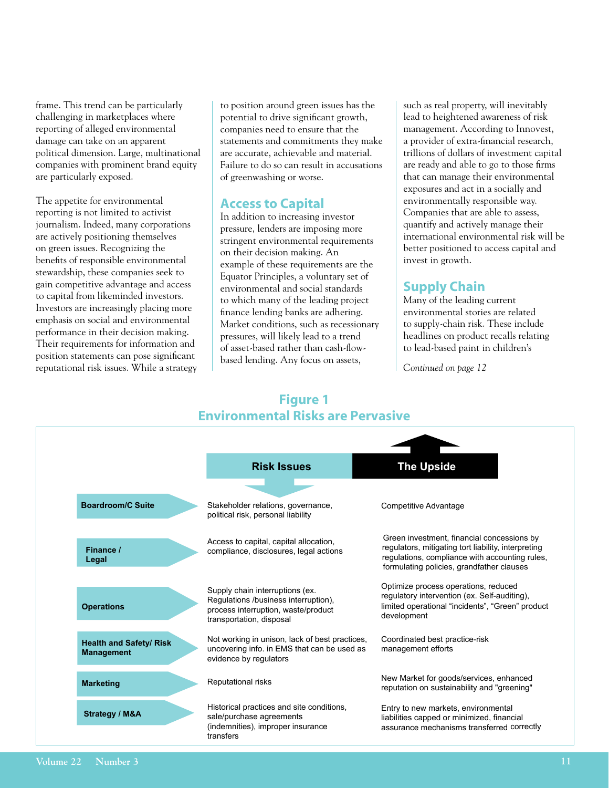frame. This trend can be particularly challenging in marketplaces where reporting of alleged environmental damage can take on an apparent political dimension. Large, multinational companies with prominent brand equity are particularly exposed.

The appetite for environmental reporting is not limited to activist journalism. Indeed, many corporations are actively positioning themselves on green issues. Recognizing the benefits of responsible environmental stewardship, these companies seek to gain competitive advantage and access to capital from likeminded investors. Investors are increasingly placing more emphasis on social and environmental performance in their decision making. Their requirements for information and position statements can pose significant reputational risk issues. While a strategy

to position around green issues has the potential to drive significant growth, companies need to ensure that the statements and commitments they make are accurate, achievable and material. Failure to do so can result in accusations of greenwashing or worse.

#### **Access to Capital**

In addition to increasing investor pressure, lenders are imposing more stringent environmental requirements on their decision making. An example of these requirements are the Equator Principles, a voluntary set of environmental and social standards to which many of the leading project finance lending banks are adhering. Market conditions, such as recessionary pressures, will likely lead to a trend of asset-based rather than cash-flowbased lending. Any focus on assets,

such as real property, will inevitably lead to heightened awareness of risk management. According to Innovest, a provider of extra-financial research, trillions of dollars of investment capital are ready and able to go to those firms that can manage their environmental exposures and act in a socially and environmentally responsible way. Companies that are able to assess, quantify and actively manage their international environmental risk will be better positioned to access capital and invest in growth.

### **Supply Chain**

Many of the leading current environmental stories are related to supply-chain risk. These include headlines on product recalls relating to lead-based paint in children's

*Continued on page 12*

#### **Figure 1 Environmental Risks are Pervasive**

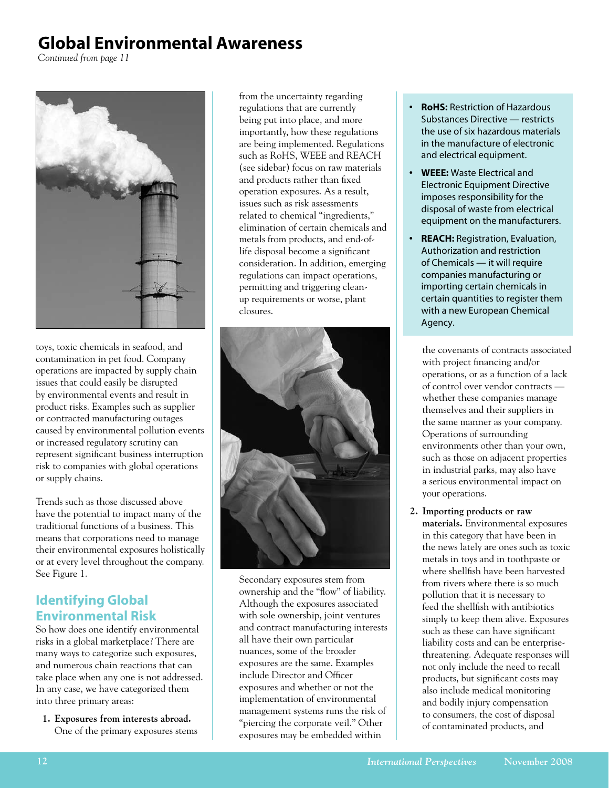## **Global Environmental Awareness**

*Continued from page 11*



toys, toxic chemicals in seafood, and contamination in pet food. Company operations are impacted by supply chain issues that could easily be disrupted by environmental events and result in product risks. Examples such as supplier or contracted manufacturing outages caused by environmental pollution events or increased regulatory scrutiny can represent significant business interruption risk to companies with global operations or supply chains.

Trends such as those discussed above have the potential to impact many of the traditional functions of a business. This means that corporations need to manage their environmental exposures holistically or at every level throughout the company. See Figure 1.

## **Identifying Global Environmental Risk**

So how does one identify environmental risks in a global marketplace? There are many ways to categorize such exposures, and numerous chain reactions that can take place when any one is not addressed. In any case, we have categorized them into three primary areas:

**1. Exposures from interests abroad.** One of the primary exposures stems from the uncertainty regarding regulations that are currently being put into place, and more importantly, how these regulations are being implemented. Regulations such as RoHS, WEEE and REACH (see sidebar) focus on raw materials and products rather than fixed operation exposures. As a result, issues such as risk assessments related to chemical "ingredients," elimination of certain chemicals and metals from products, and end-oflife disposal become a significant consideration. In addition, emerging regulations can impact operations, permitting and triggering cleanup requirements or worse, plant closures.



 Secondary exposures stem from ownership and the "flow" of liability. Although the exposures associated with sole ownership, joint ventures and contract manufacturing interests all have their own particular nuances, some of the broader exposures are the same. Examples include Director and Officer exposures and whether or not the implementation of environmental management systems runs the risk of "piercing the corporate veil." Other exposures may be embedded within

- **• RoHS:** Restriction of Hazardous Substances Directive — restricts the use of six hazardous materials in the manufacture of electronic and electrical equipment.
- **• WEEE:** Waste Electrical and Electronic Equipment Directive imposes responsibility for the disposal of waste from electrical equipment on the manufacturers.
- **REACH:** Registration, Evaluation, Authorization and restriction of Chemicals — it will require companies manufacturing or importing certain chemicals in certain quantities to register them with a new European Chemical Agency.

the covenants of contracts associated with project financing and/or operations, or as a function of a lack of control over vendor contracts whether these companies manage themselves and their suppliers in the same manner as your company. Operations of surrounding environments other than your own, such as those on adjacent properties in industrial parks, may also have a serious environmental impact on your operations.

**2. Importing products or raw materials.** Environmental exposures in this category that have been in the news lately are ones such as toxic metals in toys and in toothpaste or where shellfish have been harvested from rivers where there is so much pollution that it is necessary to feed the shellfish with antibiotics simply to keep them alive. Exposures such as these can have significant liability costs and can be enterprisethreatening. Adequate responses will not only include the need to recall products, but significant costs may also include medical monitoring and bodily injury compensation to consumers, the cost of disposal of contaminated products, and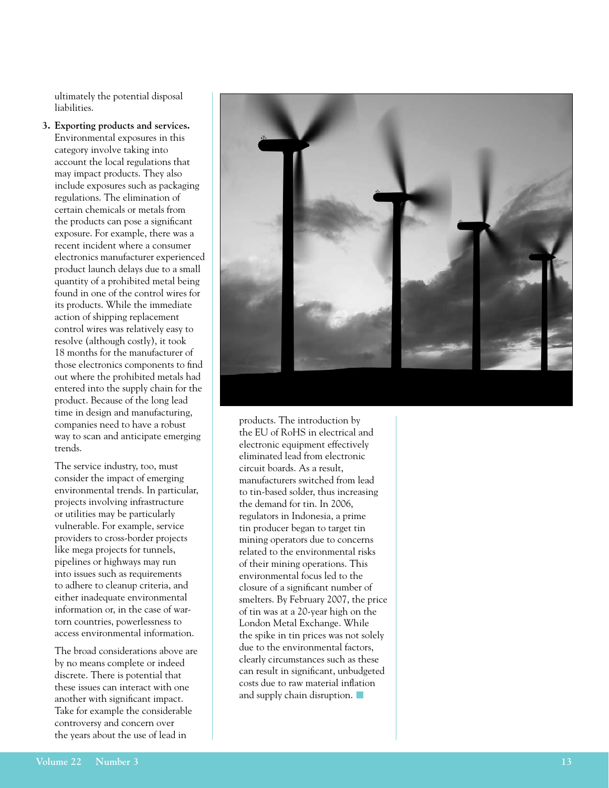ultimately the potential disposal liabilities.

**3. Exporting products and services.**  Environmental exposures in this category involve taking into account the local regulations that may impact products. They also include exposures such as packaging regulations. The elimination of certain chemicals or metals from the products can pose a significant exposure. For example, there was a recent incident where a consumer electronics manufacturer experienced product launch delays due to a small quantity of a prohibited metal being found in one of the control wires for its products. While the immediate action of shipping replacement control wires was relatively easy to resolve (although costly), it took 18 months for the manufacturer of those electronics components to find out where the prohibited metals had entered into the supply chain for the product. Because of the long lead time in design and manufacturing, companies need to have a robust way to scan and anticipate emerging trends.

 The service industry, too, must consider the impact of emerging environmental trends. In particular, projects involving infrastructure or utilities may be particularly vulnerable. For example, service providers to cross-border projects like mega projects for tunnels, pipelines or highways may run into issues such as requirements to adhere to cleanup criteria, and either inadequate environmental information or, in the case of wartorn countries, powerlessness to access environmental information.

 The broad considerations above are by no means complete or indeed discrete. There is potential that these issues can interact with one another with significant impact. Take for example the considerable controversy and concern over the years about the use of lead in



products. The introduction by the EU of RoHS in electrical and electronic equipment effectively eliminated lead from electronic circuit boards. As a result, manufacturers switched from lead to tin-based solder, thus increasing the demand for tin. In 2006, regulators in Indonesia, a prime tin producer began to target tin mining operators due to concerns related to the environmental risks of their mining operations. This environmental focus led to the closure of a significant number of smelters. By February 2007, the price of tin was at a 20-year high on the London Metal Exchange. While the spike in tin prices was not solely due to the environmental factors, clearly circumstances such as these can result in significant, unbudgeted costs due to raw material inflation and supply chain disruption.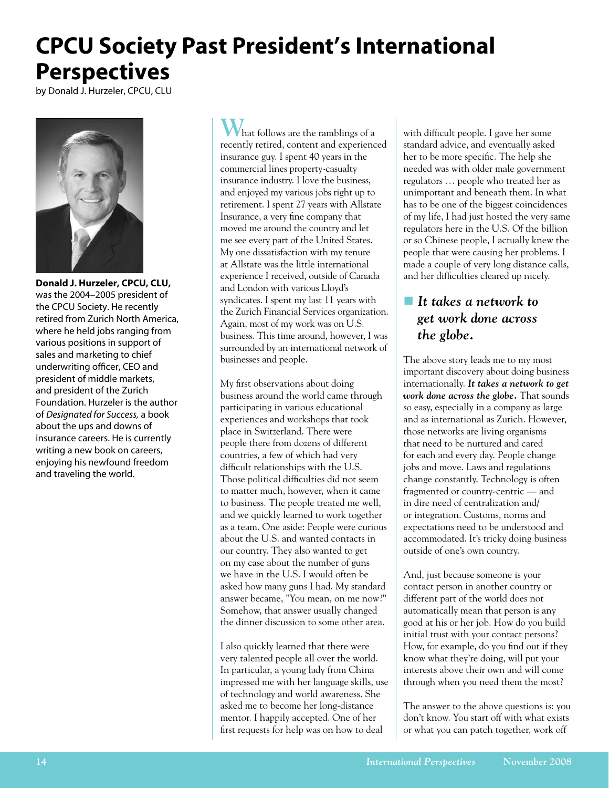# **CPCU Society Past President's International Perspectives**

by Donald J. Hurzeler, CPCU, CLU



**Donald J. Hurzeler, CPCU, CLU,** was the 2004–2005 president of the CPCU Society. He recently retired from Zurich North America, where he held jobs ranging from various positions in support of sales and marketing to chief underwriting officer, CEO and president of middle markets, and president of the Zurich Foundation. Hurzeler is the author of *Designated for Success,* a book about the ups and downs of insurance careers. He is currently writing a new book on careers, enjoying his newfound freedom and traveling the world.

**W**hat follows are the ramblings of a recently retired, content and experienced insurance guy. I spent 40 years in the commercial lines property-casualty insurance industry. I love the business, and enjoyed my various jobs right up to retirement. I spent 27 years with Allstate Insurance, a very fine company that moved me around the country and let me see every part of the United States. My one dissatisfaction with my tenure at Allstate was the little international experience I received, outside of Canada and London with various Lloyd's syndicates. I spent my last 11 years with the Zurich Financial Services organization. Again, most of my work was on U.S. business. This time around, however, I was surrounded by an international network of businesses and people.

My first observations about doing business around the world came through participating in various educational experiences and workshops that took place in Switzerland. There were people there from dozens of different countries, a few of which had very difficult relationships with the U.S. Those political difficulties did not seem to matter much, however, when it came to business. The people treated me well, and we quickly learned to work together as a team. One aside: People were curious about the U.S. and wanted contacts in our country. They also wanted to get on my case about the number of guns we have in the U.S. I would often be asked how many guns I had. My standard answer became, "You mean, on me now?" Somehow, that answer usually changed the dinner discussion to some other area.

I also quickly learned that there were very talented people all over the world. In particular, a young lady from China impressed me with her language skills, use of technology and world awareness. She asked me to become her long-distance mentor. I happily accepted. One of her first requests for help was on how to deal

with difficult people. I gave her some standard advice, and eventually asked her to be more specific. The help she needed was with older male government regulators … people who treated her as unimportant and beneath them. In what has to be one of the biggest coincidences of my life, I had just hosted the very same regulators here in the U.S. Of the billion or so Chinese people, I actually knew the people that were causing her problems. I made a couple of very long distance calls, and her difficulties cleared up nicely.

## ■ It takes a network to *get work done across the globe.*

The above story leads me to my most important discovery about doing business internationally. *It takes a network to get work done across the globe.* That sounds so easy, especially in a company as large and as international as Zurich. However, those networks are living organisms that need to be nurtured and cared for each and every day. People change jobs and move. Laws and regulations change constantly. Technology is often fragmented or country-centric — and in dire need of centralization and/ or integration. Customs, norms and expectations need to be understood and accommodated. It's tricky doing business outside of one's own country.

And, just because someone is your contact person in another country or different part of the world does not automatically mean that person is any good at his or her job. How do you build initial trust with your contact persons? How, for example, do you find out if they know what they're doing, will put your interests above their own and will come through when you need them the most?

The answer to the above questions is: you don't know. You start off with what exists or what you can patch together, work off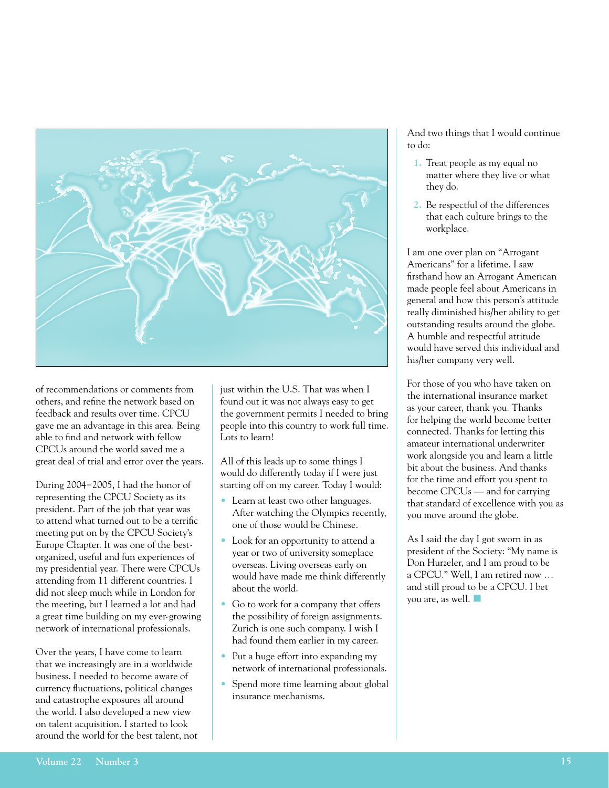

of recommendations or comments from others, and refine the network based on feedback and results over time. CPCU gave me an advantage in this area. Being able to find and network with fellow CPCUs around the world saved me a great deal of trial and error over the years.

During 2004−2005, I had the honor of representing the CPCU Society as its president. Part of the job that year was to attend what turned out to be a terrific meeting put on by the CPCU Society's Europe Chapter. It was one of the bestorganized, useful and fun experiences of my presidential year. There were CPCUs attending from 11 different countries. I did not sleep much while in London for the meeting, but I learned a lot and had a great time building on my ever-growing network of international professionals.

Over the years, I have come to learn that we increasingly are in a worldwide business. I needed to become aware of currency fluctuations, political changes and catastrophe exposures all around the world. I also developed a new view on talent acquisition. I started to look around the world for the best talent, not just within the U.S. That was when I found out it was not always easy to get the government permits I needed to bring people into this country to work full time. Lots to learn!

All of this leads up to some things I would do differently today if I were just starting off on my career. Today I would:

- Learn at least two other languages. After watching the Olympics recently, one of those would be Chinese.
- Look for an opportunity to attend a year or two of university someplace overseas. Living overseas early on would have made me think differently about the world.
- Go to work for a company that offers the possibility of foreign assignments. Zurich is one such company. I wish I had found them earlier in my career.
- Put a huge effort into expanding my network of international professionals.
- Spend more time learning about global insurance mechanisms.

And two things that I would continue to do:

- **1.** Treat people as my equal no matter where they live or what they do.
- **2.** Be respectful of the differences that each culture brings to the workplace.

I am one over plan on "Arrogant Americans" for a lifetime. I saw firsthand how an Arrogant American made people feel about Americans in general and how this person's attitude really diminished his/her ability to get outstanding results around the globe. A humble and respectful attitude would have served this individual and his/her company very well.

For those of you who have taken on the international insurance market as your career, thank you. Thanks for helping the world become better connected. Thanks for letting this amateur international underwriter work alongside you and learn a little bit about the business. And thanks for the time and effort you spent to become CPCUs — and for carrying that standard of excellence with you as you move around the globe.

As I said the day I got sworn in as president of the Society: "My name is Don Hurzeler, and I am proud to be a CPCU." Well, I am retired now … and still proud to be a CPCU. I bet you are, as well.  $\Box$